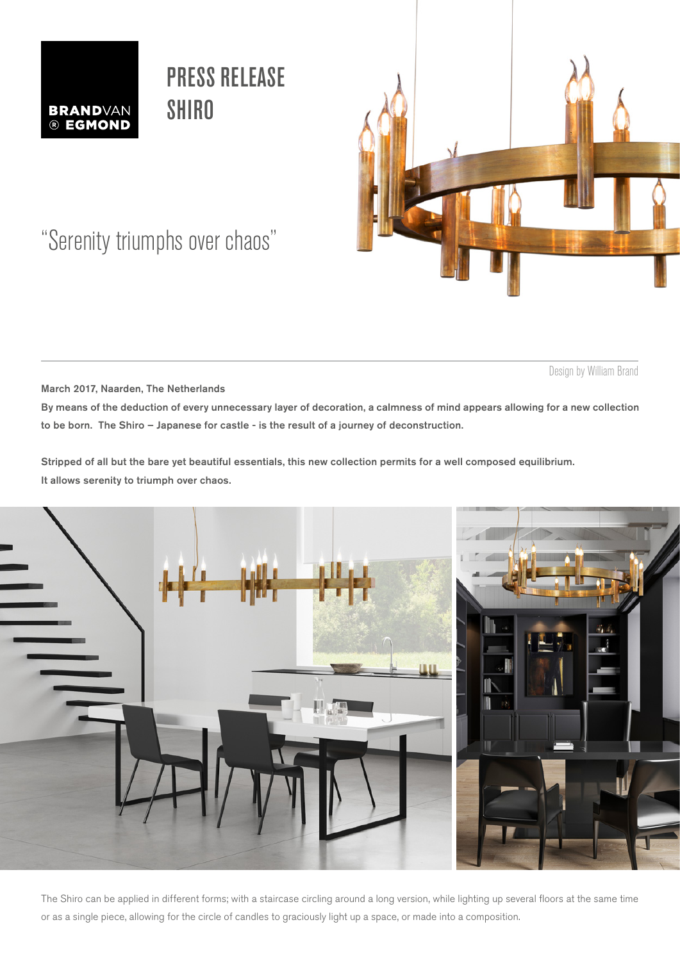

# PRESS RELEASE **SHIRO**



## "Serenity triumphs over chaos"

Design by William Brand

March 2017, Naarden, The Netherlands

By means of the deduction of every unnecessary layer of decoration, a calmness of mind appears allowing for a new collection to be born. The Shiro – Japanese for castle - is the result of a journey of deconstruction.

Stripped of all but the bare yet beautiful essentials, this new collection permits for a well composed equilibrium. It allows serenity to triumph over chaos.



The Shiro can be applied in different forms; with a staircase circling around a long version, while lighting up several floors at the same time or as a single piece, allowing for the circle of candles to graciously light up a space, or made into a composition.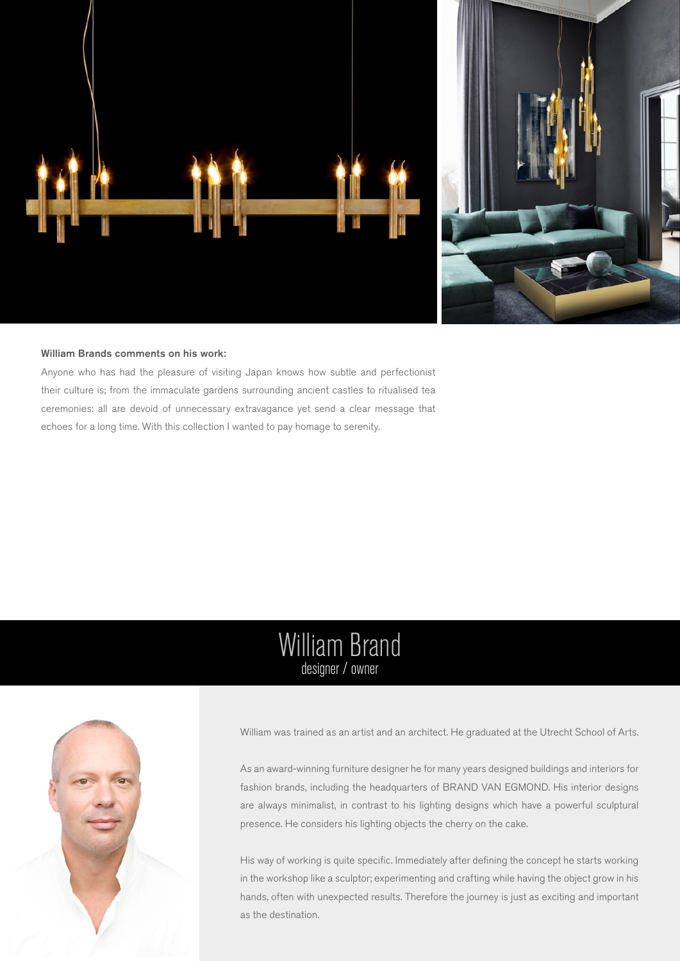

### William Brands comments on his work:

Anyone who has had the pleasure of visiting Japan knows how subtle and perfectionist their culture is; from the immaculate gardens surrounding ancient castles to ritualised tea ceremonies: all are devoid of unnecessary extravagance yet send a clear message that echoes for a long time. With this collection I wanted to pay homage to serenity.

## William Brand designer / owner



William was trained as an artist and an architect. He graduated at the Utrecht School of Arts.

As an award-winning furniture designer he for many years designed buildings and interiors for fashion brands, including the headquarters of BRAND VAN EGMOND. His interior designs are always minimalist, in contrast to his lighting designs which have a powerful sculptural presence. He considers his lighting objects the cherry on the cake.

His way of working is quite specific. Immediately after defining the concept he starts working in the workshop like a sculptor; experimenting and crafting while having the object grow in his hands, often with unexpected results. Therefore the journey is just as exciting and important as the destination.